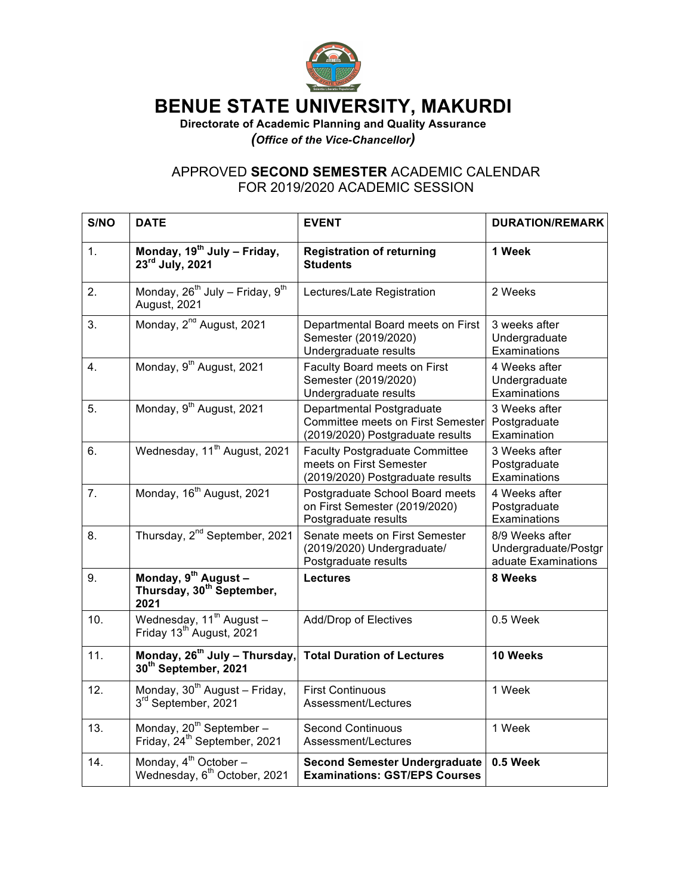

## **BENUE STATE UNIVERSITY, MAKURDI**

**Directorate of Academic Planning and Quality Assurance** *(Office of the Vice-Chancellor)*

## APPROVED **SECOND SEMESTER** ACADEMIC CALENDAR FOR 2019/2020 ACADEMIC SESSION

| S/NO | <b>DATE</b>                                                                       | <b>EVENT</b>                                                                                              | <b>DURATION/REMARK</b>                                         |
|------|-----------------------------------------------------------------------------------|-----------------------------------------------------------------------------------------------------------|----------------------------------------------------------------|
| 1.   | Monday, 19 <sup>th</sup> July - Friday,<br>$23rd$ July, 2021                      | <b>Registration of returning</b><br><b>Students</b>                                                       | 1 Week                                                         |
| 2.   | Monday, 26 <sup>th</sup> July - Friday, 9 <sup>th</sup><br>August, 2021           | Lectures/Late Registration                                                                                | 2 Weeks                                                        |
| 3.   | Monday, 2 <sup>nd</sup> August, 2021                                              | Departmental Board meets on First<br>Semester (2019/2020)<br>Undergraduate results                        | 3 weeks after<br>Undergraduate<br>Examinations                 |
| 4.   | Monday, 9th August, 2021                                                          | Faculty Board meets on First<br>Semester (2019/2020)<br>Undergraduate results                             | 4 Weeks after<br>Undergraduate<br>Examinations                 |
| 5.   | Monday, 9th August, 2021                                                          | Departmental Postgraduate<br><b>Committee meets on First Semester</b><br>(2019/2020) Postgraduate results | 3 Weeks after<br>Postgraduate<br>Examination                   |
| 6.   | Wednesday, 11 <sup>th</sup> August, 2021                                          | <b>Faculty Postgraduate Committee</b><br>meets on First Semester<br>(2019/2020) Postgraduate results      | 3 Weeks after<br>Postgraduate<br>Examinations                  |
| 7.   | Monday, 16 <sup>th</sup> August, 2021                                             | Postgraduate School Board meets<br>on First Semester (2019/2020)<br>Postgraduate results                  | 4 Weeks after<br>Postgraduate<br>Examinations                  |
| 8.   | Thursday, 2 <sup>nd</sup> September, 2021                                         | Senate meets on First Semester<br>(2019/2020) Undergraduate/<br>Postgraduate results                      | 8/9 Weeks after<br>Undergraduate/Postgr<br>aduate Examinations |
| 9.   | Monday, 9 <sup>th</sup> August -<br>Thursday, 30 <sup>th</sup> September,<br>2021 | <b>Lectures</b>                                                                                           | 8 Weeks                                                        |
| 10.  | Wednesday, $11^{\text{th}}$ August -<br>Friday 13 <sup>th</sup> August, 2021      | <b>Add/Drop of Electives</b>                                                                              | 0.5 Week                                                       |
| 11.  | Monday, 26 <sup>th</sup> July - Thursday,<br>30th September, 2021                 | <b>Total Duration of Lectures</b>                                                                         | 10 Weeks                                                       |
| 12.  | Monday, 30 <sup>th</sup> August - Friday,<br>3rd September, 2021                  | <b>First Continuous</b><br>Assessment/Lectures                                                            | 1 Week                                                         |
| 13.  | Monday, 20 <sup>th</sup> September-<br>Friday, 24 <sup>th</sup> September, 2021   | <b>Second Continuous</b><br>Assessment/Lectures                                                           | 1 Week                                                         |
| 14.  | Monday, 4 <sup>th</sup> October -<br>Wednesday, 6 <sup>th</sup> October, 2021     | <b>Second Semester Undergraduate</b><br><b>Examinations: GST/EPS Courses</b>                              | 0.5 Week                                                       |